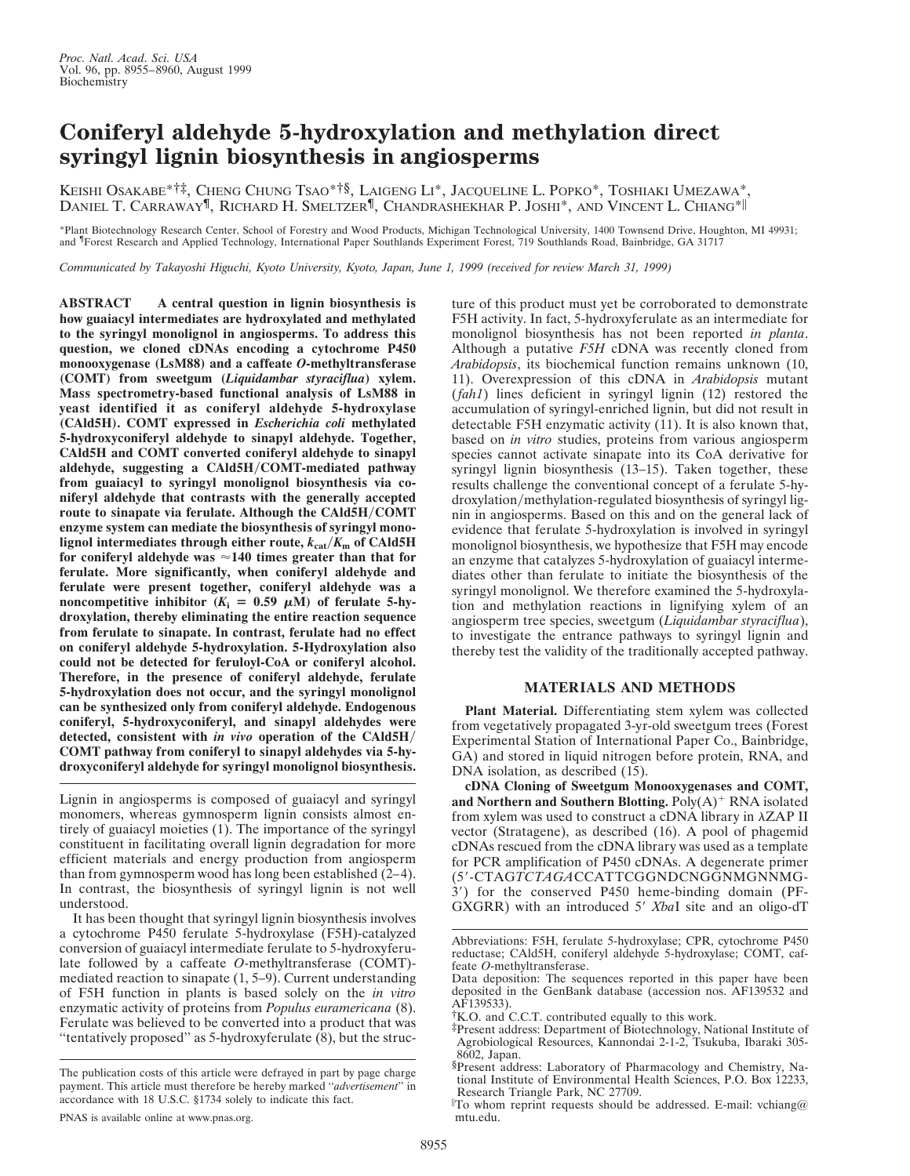## **Coniferyl aldehyde 5-hydroxylation and methylation direct syringyl lignin biosynthesis in angiosperms**

KEISHI OSAKABE\*†‡, CHENG CHUNG TSAO\*†§, LAIGENG LI\*, JACQUELINE L. POPKO\*, TOSHIAKI UMEZAWA\*, DANIEL T. CARRAWAY¶, RICHARD H. SMELTZER¶, CHANDRASHEKHAR P. JOSHI\*, AND VINCENT L. CHIANG\*i

\*Plant Biotechnology Research Center, School of Forestry and Wood Products, Michigan Technological University, 1400 Townsend Drive, Houghton, MI 49931; and <sup>¶</sup>Forest Research and Applied Technology, International Paper Southlands Experiment Forest, 719 Southlands Road, Bainbridge, GA 31717

*Communicated by Takayoshi Higuchi, Kyoto University, Kyoto, Japan, June 1, 1999 (received for review March 31, 1999)*

**ABSTRACT A central question in lignin biosynthesis is how guaiacyl intermediates are hydroxylated and methylated to the syringyl monolignol in angiosperms. To address this question, we cloned cDNAs encoding a cytochrome P450 monooxygenase (LsM88) and a caffeate** *O***-methyltransferase (COMT) from sweetgum (***Liquidambar styraciflua***) xylem. Mass spectrometry-based functional analysis of LsM88 in yeast identified it as coniferyl aldehyde 5-hydroxylase (CAld5H). COMT expressed in** *Escherichia coli* **methylated 5-hydroxyconiferyl aldehyde to sinapyl aldehyde. Together, CAld5H and COMT converted coniferyl aldehyde to sinapyl** aldehyde, suggesting a CAld5H/COMT-mediated pathway **from guaiacyl to syringyl monolignol biosynthesis via coniferyl aldehyde that contrasts with the generally accepted** route to sinapate via ferulate. Although the CAld5H/COMT **enzyme system can mediate the biosynthesis of syringyl monolignol intermediates through either route,**  $k_{\text{cat}}/K_{\text{m}}$  **of CAld5H for coniferyl aldehyde was** '**140 times greater than that for ferulate. More significantly, when coniferyl aldehyde and ferulate were present together, coniferyl aldehyde was a noncompetitive inhibitor**  $(K_i = 0.59 \mu M)$  of ferulate 5-hy**droxylation, thereby eliminating the entire reaction sequence from ferulate to sinapate. In contrast, ferulate had no effect on coniferyl aldehyde 5-hydroxylation. 5-Hydroxylation also could not be detected for feruloyl-CoA or coniferyl alcohol. Therefore, in the presence of coniferyl aldehyde, ferulate 5-hydroxylation does not occur, and the syringyl monolignol can be synthesized only from coniferyl aldehyde. Endogenous coniferyl, 5-hydroxyconiferyl, and sinapyl aldehydes were detected, consistent with** *in vivo* **operation of the CAld5H/ COMT pathway from coniferyl to sinapyl aldehydes via 5-hydroxyconiferyl aldehyde for syringyl monolignol biosynthesis.**

Lignin in angiosperms is composed of guaiacyl and syringyl monomers, whereas gymnosperm lignin consists almost entirely of guaiacyl moieties (1). The importance of the syringyl constituent in facilitating overall lignin degradation for more efficient materials and energy production from angiosperm than from gymnosperm wood has long been established (2–4). In contrast, the biosynthesis of syringyl lignin is not well understood.

It has been thought that syringyl lignin biosynthesis involves a cytochrome P450 ferulate 5-hydroxylase (F5H)-catalyzed conversion of guaiacyl intermediate ferulate to 5-hydroxyferulate followed by a caffeate *O*-methyltransferase (COMT) mediated reaction to sinapate (1, 5–9). Current understanding of F5H function in plants is based solely on the *in vitro* enzymatic activity of proteins from *Populus euramericana* (8). Ferulate was believed to be converted into a product that was ''tentatively proposed'' as 5-hydroxyferulate (8), but the structure of this product must yet be corroborated to demonstrate F5H activity. In fact, 5-hydroxyferulate as an intermediate for monolignol biosynthesis has not been reported *in planta*. Although a putative *F5H* cDNA was recently cloned from *Arabidopsis*, its biochemical function remains unknown (10, 11). Overexpression of this cDNA in *Arabidopsis* mutant (*fah1*) lines deficient in syringyl lignin (12) restored the accumulation of syringyl-enriched lignin, but did not result in detectable F5H enzymatic activity (11). It is also known that, based on *in vitro* studies, proteins from various angiosperm species cannot activate sinapate into its CoA derivative for syringyl lignin biosynthesis (13–15). Taken together, these results challenge the conventional concept of a ferulate 5-hydroxylation/methylation-regulated biosynthesis of syringyl lignin in angiosperms. Based on this and on the general lack of evidence that ferulate 5-hydroxylation is involved in syringyl monolignol biosynthesis, we hypothesize that F5H may encode an enzyme that catalyzes 5-hydroxylation of guaiacyl intermediates other than ferulate to initiate the biosynthesis of the syringyl monolignol. We therefore examined the 5-hydroxylation and methylation reactions in lignifying xylem of an angiosperm tree species, sweetgum (*Liquidambar styraciflua*), to investigate the entrance pathways to syringyl lignin and thereby test the validity of the traditionally accepted pathway.

## **MATERIALS AND METHODS**

**Plant Material.** Differentiating stem xylem was collected from vegetatively propagated 3-yr-old sweetgum trees (Forest Experimental Station of International Paper Co., Bainbridge, GA) and stored in liquid nitrogen before protein, RNA, and DNA isolation, as described (15).

**cDNA Cloning of Sweetgum Monooxygenases and COMT, and Northern and Southern Blotting.**  $Poly(A)^+$  RNA isolated from xylem was used to construct a cDNA library in  $\lambda ZAP$  II vector (Stratagene), as described (16). A pool of phagemid cDNAs rescued from the cDNA library was used as a template for PCR amplification of P450 cDNAs. A degenerate primer (59-CTAG*TCTAGA*CCATTCGGNDCNGGNMGNNMG-3') for the conserved P450 heme-binding domain (PF-GXGRR) with an introduced 5' *XbaI* site and an oligo-dT

The publication costs of this article were defrayed in part by page charge payment. This article must therefore be hereby marked ''*advertisement*'' in accordance with 18 U.S.C. §1734 solely to indicate this fact.

Abbreviations: F5H, ferulate 5-hydroxylase; CPR, cytochrome P450 reductase; CAld5H, coniferyl aldehyde 5-hydroxylase; COMT, caffeate *O*-methyltransferase.

Data deposition: The sequences reported in this paper have been deposited in the GenBank database (accession nos. AF139532 and AF139533).

<sup>†</sup>K.O. and C.C.T. contributed equally to this work.

<sup>‡</sup>Present address: Department of Biotechnology, National Institute of Agrobiological Resources, Kannondai 2-1-2, Tsukuba, Ibaraki 305- 8602, Japan.

<sup>§</sup>Present address: Laboratory of Pharmacology and Chemistry, National Institute of Environmental Health Sciences, P.O. Box 12233, Research Triangle Park, NC 27709.

i To whom reprint requests should be addressed. E-mail: vchiang@ mtu.edu.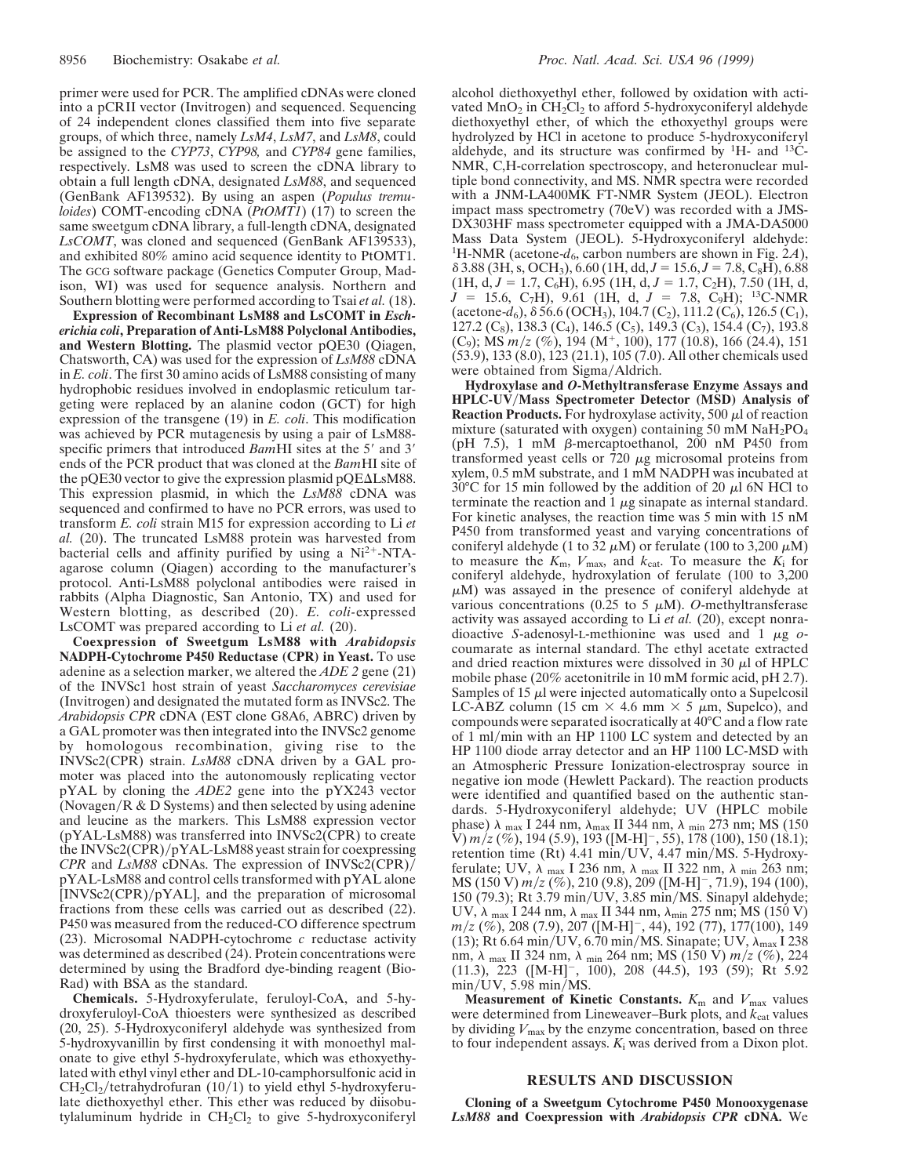primer were used for PCR. The amplified cDNAs were cloned into a pCRII vector (Invitrogen) and sequenced. Sequencing of 24 independent clones classified them into five separate groups, of which three, namely *LsM4*, *LsM7*, and *LsM8*, could be assigned to the *CYP73*, *CYP98,* and *CYP84* gene families, respectively. LsM8 was used to screen the cDNA library to obtain a full length cDNA, designated *LsM88*, and sequenced (GenBank AF139532). By using an aspen (*Populus tremuloides*) COMT-encoding cDNA (*PtOMT1*) (17) to screen the same sweetgum cDNA library, a full-length cDNA, designated *LsCOMT*, was cloned and sequenced (GenBank AF139533), and exhibited 80% amino acid sequence identity to PtOMT1. The GCG software package (Genetics Computer Group, Madison, WI) was used for sequence analysis. Northern and Southern blotting were performed according to Tsai *et al.* (18).

**Expression of Recombinant LsM88 and LsCOMT in** *Escherichia coli***, Preparation of Anti-LsM88 Polyclonal Antibodies, and Western Blotting.** The plasmid vector pQE30 (Qiagen, Chatsworth, CA) was used for the expression of *LsM88* cDNA in *E. coli*. The first 30 amino acids of LsM88 consisting of many hydrophobic residues involved in endoplasmic reticulum targeting were replaced by an alanine codon (GCT) for high expression of the transgene (19) in *E. coli*. This modification was achieved by PCR mutagenesis by using a pair of LsM88 specific primers that introduced *BamHI* sites at the 5' and 3' ends of the PCR product that was cloned at the *Bam*HI site of the pQE30 vector to give the expression plasmid pQE $\Delta$ LsM88. This expression plasmid, in which the *LsM88* cDNA was sequenced and confirmed to have no PCR errors, was used to transform *E. coli* strain M15 for expression according to Li *et al.* (20). The truncated LsM88 protein was harvested from bacterial cells and affinity purified by using a  $Ni<sup>2+</sup>-NTA$ agarose column (Qiagen) according to the manufacturer's protocol. Anti-LsM88 polyclonal antibodies were raised in rabbits (Alpha Diagnostic, San Antonio, TX) and used for Western blotting, as described (20). *E. coli-*expressed LsCOMT was prepared according to Li *et al.* (20).

**Coexpression of Sweetgum LsM88 with** *Arabidopsis* **NADPH-Cytochrome P450 Reductase (CPR) in Yeast.** To use adenine as a selection marker, we altered the *ADE 2* gene (21) of the INVSc1 host strain of yeast *Saccharomyces cerevisiae* (Invitrogen) and designated the mutated form as INVSc2. The *Arabidopsis CPR* cDNA (EST clone G8A6, ABRC) driven by a GAL promoter was then integrated into the INVSc2 genome by homologous recombination, giving rise to the INVSc2(CPR) strain. *LsM88* cDNA driven by a GAL promoter was placed into the autonomously replicating vector pYAL by cloning the *ADE2* gene into the pYX243 vector (Novagen/R  $&$  D Systems) and then selected by using adenine and leucine as the markers. This LsM88 expression vector (pYAL-LsM88) was transferred into INVSc2(CPR) to create the INVSc2(CPR)/pYAL-LsM88 yeast strain for coexpressing *CPR* and *LsM88* cDNAs. The expression of INVSc2(CPR)/ pYAL-LsM88 and control cells transformed with pYAL alone  $[INVSc2(CPR)/pYAL]$ , and the preparation of microsomal fractions from these cells was carried out as described (22). P450 was measured from the reduced-CO difference spectrum (23). Microsomal NADPH-cytochrome *c* reductase activity was determined as described (24). Protein concentrations were determined by using the Bradford dye-binding reagent (Bio-Rad) with BSA as the standard.

**Chemicals.** 5-Hydroxyferulate, feruloyl-CoA, and 5-hydroxyferuloyl-CoA thioesters were synthesized as described (20, 25). 5-Hydroxyconiferyl aldehyde was synthesized from 5-hydroxyvanillin by first condensing it with monoethyl malonate to give ethyl 5-hydroxyferulate, which was ethoxyethylated with ethyl vinyl ether and DL-10-camphorsulfonic acid in  $CH_2Cl_2$ /tetrahydrofuran (10/1) to yield ethyl 5-hydroxyferulate diethoxyethyl ether. This ether was reduced by diisobutylaluminum hydride in  $CH_2Cl_2$  to give 5-hydroxyconiferyl alcohol diethoxyethyl ether, followed by oxidation with activated  $MnO_2$  in  $CH_2Cl_2$  to afford 5-hydroxyconiferyl aldehyde diethoxyethyl ether, of which the ethoxyethyl groups were hydrolyzed by HCl in acetone to produce 5-hydroxyconiferyl aldehyde, and its structure was confirmed by  $H$ - and  $^{13}C$ -NMR, C,H-correlation spectroscopy, and heteronuclear multiple bond connectivity, and MS. NMR spectra were recorded with a JNM-LA400MK FT-NMR System (JEOL). Electron impact mass spectrometry (70eV) was recorded with a JMS-DX303HF mass spectrometer equipped with a JMA-DA5000 Mass Data System (JEOL). 5-Hydroxyconiferyl aldehyde: <sup>1</sup>H-NMR (acetone- $d_6$ , carbon numbers are shown in Fig. 2A),  $\delta$  3.88 (3H, s, OCH<sub>3</sub>), 6.60 (1H, dd,  $J = 15.6$ ,  $J = 7.8$ , C<sub>8</sub>H), 6.88  $(1H, d, J = 1.7, C_6H), 6.95 (1H, d, J = 1.7, C_2H), 7.50 (1H, d,$  $J = 15.6, C_7H$ , 9.61 (1H, d,  $J = 7.8, C_9H$ ); <sup>13</sup>C-NMR (acetone- $d_6$ ),  $\delta$  56.6 (OCH<sub>3</sub>), 104.7 (C<sub>2</sub>), 111.2 (C<sub>6</sub>), 126.5 (C<sub>1</sub>), 127.2 (C<sub>8</sub>), 138.3 (C<sub>4</sub>), 146.5 (C<sub>5</sub>), 149.3 (C<sub>3</sub>), 154.4 (C<sub>7</sub>), 193.8 (C<sub>9</sub>); MS  $m/z$  (%), 194 (M<sup>+</sup>, 100), 177 (10.8), 166 (24.4), 151 (53.9), 133 (8.0), 123 (21.1), 105 (7.0). All other chemicals used were obtained from Sigma/Aldrich.

**Hydroxylase and** *O***-Methyltransferase Enzyme Assays and HPLC-UV**y**Mass Spectrometer Detector (MSD) Analysis of Reaction Products.** For hydroxylase activity, 500  $\mu$ l of reaction mixture (saturated with oxygen) containing 50 mM  $NaH<sub>2</sub>PO<sub>4</sub>$ (pH 7.5), 1 mM  $\beta$ -mercaptoethanol, 200 nM P450 from transformed yeast cells or  $\bar{7}20 \mu$ g microsomal proteins from xylem, 0.5 mM substrate, and 1 mM NADPH was incubated at 30 $\degree$ C for 15 min followed by the addition of 20  $\mu$ l 6N HCl to terminate the reaction and  $1 \mu$ g sinapate as internal standard. For kinetic analyses, the reaction time was 5 min with 15 nM P450 from transformed yeast and varying concentrations of coniferyl aldehyde (1 to 32  $\mu$ M) or ferulate (100 to 3,200  $\mu$ M) to measure the  $K_{\rm m}$ ,  $V_{\rm max}$ , and  $k_{\rm cat}$ . To measure the  $K_{\rm i}$  for coniferyl aldehyde, hydroxylation of ferulate (100 to 3,200  $\mu$ M) was assayed in the presence of coniferyl aldehyde at various concentrations (0.25 to 5  $\mu$ M). *O*-methyltransferase activity was assayed according to Li *et al.* (20), except nonradioactive *S*-adenosyl-L-methionine was used and 1 <sup>m</sup>g *o*coumarate as internal standard. The ethyl acetate extracted and dried reaction mixtures were dissolved in 30  $\mu$ l of HPLC mobile phase (20% acetonitrile in 10 mM formic acid, pH 2.7). Samples of  $15 \mu l$  were injected automatically onto a Supelcosil LC-ABZ column (15 cm  $\times$  4.6 mm  $\times$  5  $\mu$ m, Supelco), and compounds were separated isocratically at 40°C and a flow rate of 1 mlymin with an HP 1100 LC system and detected by an HP 1100 diode array detector and an HP 1100 LC-MSD with an Atmospheric Pressure Ionization-electrospray source in negative ion mode (Hewlett Packard). The reaction products were identified and quantified based on the authentic standards. 5-Hydroxyconiferyl aldehyde; UV (HPLC mobile phase)  $\lambda$  max I 244 nm,  $\lambda$  max II 344 nm,  $\lambda$  min 273 nm; MS (150) V) *m*/*z* (%), 194 (5.9), 193 ([M-H]<sup>-</sup>, 55), 178 (100), 150 (18.1); retention time (Rt) 4.41 min/UV, 4.47 min/MS. 5-Hydroxyferulate; UV,  $\lambda$  max I 236 nm,  $\lambda$  max II 322 nm,  $\lambda$  min 263 nm; MS (150 V)  $m/z$  (%), 210 (9.8), 209 ([M-H]<sup>-</sup>, 71.9), 194 (100), 150 (79.3); Rt 3.79 min/UV, 3.85 min/MS. Sinapyl aldehyde; UV,  $\lambda$  max I 244 nm,  $\lambda$  max II 344 nm,  $\lambda$ <sub>min</sub> 275 nm; MS (150 V) *m*/*z* (%), 208 (7.9), 207 ([M-H]<sup>-</sup>, 44), 192 (77), 177(100), 149 (13); Rt 6.64 min/UV, 6.70 min/MS. Sinapate; UV,  $\lambda_{\text{max}}$  I 238 nm, λ <sub>max</sub> II 324 nm, λ <sub>min</sub> 264 nm; MS (150 V) *m/z* (%), 224  $(11.3)$ , 223  $([M-H]^{-}, 100)$ , 208  $(44.5)$ , 193  $(59)$ ; Rt 5.92  $min/UV$ , 5.98  $min/MS$ .

**Measurement of Kinetic Constants.**  $K_m$  and  $V_{\text{max}}$  values were determined from Lineweaver–Burk plots, and  $k_{cat}$  values by dividing *V*max by the enzyme concentration, based on three to four independent assays.  $K_i$  was derived from a Dixon plot.

## **RESULTS AND DISCUSSION**

**Cloning of a Sweetgum Cytochrome P450 Monooxygenase** *LsM88* **and Coexpression with** *Arabidopsis CPR* **cDNA.** We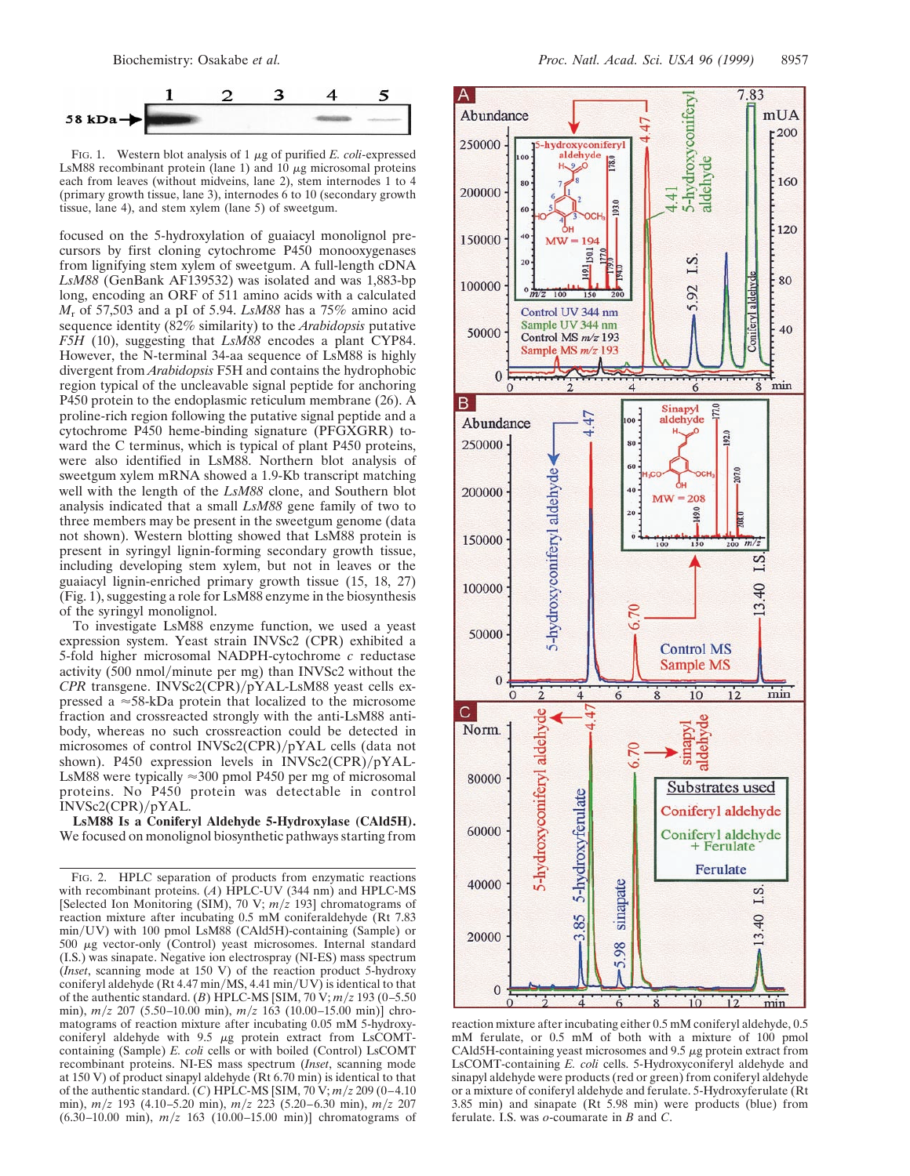

FIG. 1. Western blot analysis of  $1 \mu$ g of purified *E. coli*-expressed LsM88 recombinant protein (lane 1) and  $10 \mu$ g microsomal proteins each from leaves (without midveins, lane 2), stem internodes 1 to 4 (primary growth tissue, lane 3), internodes 6 to 10 (secondary growth tissue, lane 4), and stem xylem (lane 5) of sweetgum.

focused on the 5-hydroxylation of guaiacyl monolignol precursors by first cloning cytochrome P450 monooxygenases from lignifying stem xylem of sweetgum. A full-length cDNA *LsM88* (GenBank AF139532) was isolated and was 1,883-bp long, encoding an ORF of 511 amino acids with a calculated *M*<sup>r</sup> of 57,503 and a pI of 5.94. *LsM88* has a 75% amino acid sequence identity (82% similarity) to the *Arabidopsis* putative *F5H* (10), suggesting that *LsM88* encodes a plant CYP84. However, the N-terminal 34-aa sequence of LsM88 is highly divergent from *Arabidopsis* F5H and contains the hydrophobic region typical of the uncleavable signal peptide for anchoring P450 protein to the endoplasmic reticulum membrane (26). A proline-rich region following the putative signal peptide and a cytochrome P450 heme-binding signature (PFGXGRR) toward the C terminus, which is typical of plant P450 proteins, were also identified in LsM88. Northern blot analysis of sweetgum xylem mRNA showed a 1.9-Kb transcript matching well with the length of the *LsM88* clone, and Southern blot analysis indicated that a small *LsM88* gene family of two to three members may be present in the sweetgum genome (data not shown). Western blotting showed that LsM88 protein is present in syringyl lignin-forming secondary growth tissue, including developing stem xylem, but not in leaves or the guaiacyl lignin-enriched primary growth tissue (15, 18, 27)  $(Fig. 1)$ , suggesting a role for LsM88 enzyme in the biosynthesis of the syringyl monolignol.

To investigate LsM88 enzyme function, we used a yeast expression system. Yeast strain INVSc2 (CPR) exhibited a 5-fold higher microsomal NADPH-cytochrome *c* reductase activity  $(500 \text{ nmol/minute per mg})$  than INVSc2 without the *CPR* transgene. INVSc2(CPR)/pYAL-LsM88 yeast cells expressed a  $\approx$ 58-kDa protein that localized to the microsome fraction and crossreacted strongly with the anti-LsM88 antibody, whereas no such crossreaction could be detected in microsomes of control INVSc2(CPR)/pYAL cells (data not shown). P450 expression levels in  $INVSc2(CPR)/pYAL-$ LsM88 were typically  $\approx$ 300 pmol P450 per mg of microsomal proteins. No P450 protein was detectable in control  $INVSc2(CPR)/pYAL$ .

**LsM88 Is a Coniferyl Aldehyde 5-Hydroxylase (CAld5H).** We focused on monolignol biosynthetic pathways starting from



reaction mixture after incubating either 0.5 mM coniferyl aldehyde, 0.5 mM ferulate, or 0.5 mM of both with a mixture of 100 pmol CAld5H-containing yeast microsomes and  $9.5 \mu$ g protein extract from LsCOMT-containing *E. coli* cells. 5-Hydroxyconiferyl aldehyde and sinapyl aldehyde were products (red or green) from coniferyl aldehyde or a mixture of coniferyl aldehyde and ferulate. 5-Hydroxyferulate (Rt 3.85 min) and sinapate (Rt 5.98 min) were products (blue) from ferulate. I.S. was *o*-coumarate in *B* and *C*.

FIG. 2. HPLC separation of products from enzymatic reactions with recombinant proteins. (*A*) HPLC-UV (344 nm) and HPLC-MS [Selected Ion Monitoring (SIM), 70 V;  $m/z$  193] chromatograms of reaction mixture after incubating 0.5 mM coniferaldehyde (Rt 7.83 min/UV) with 100 pmol LsM88 (CAld5H)-containing (Sample) or  $500 \mu g$  vector-only (Control) yeast microsomes. Internal standard (I.S.) was sinapate. Negative ion electrospray (NI-ES) mass spectrum (*Inset*, scanning mode at 150 V) of the reaction product 5-hydroxy coniferyl aldehyde (Rt 4.47 min/MS, 4.41 min/UV) is identical to that of the authentic standard. (*B*) HPLC-MS [SIM, 70 V;  $m/z$  193 (0–5.50) min),  $m/z$  207 (5.50–10.00 min),  $m/z$  163 (10.00–15.00 min)] chromatograms of reaction mixture after incubating 0.05 mM 5-hydroxyconiferyl aldehyde with  $9.5 \mu g$  protein extract from LsCOMTcontaining (Sample) *E. coli* cells or with boiled (Control) LsCOMT recombinant proteins. NI-ES mass spectrum (*Inset*, scanning mode at 150 V) of product sinapyl aldehyde (Rt 6.70 min) is identical to that of the authentic standard. (*C*) HPLC-MS [SIM,  $70 \text{ V}; m/z \, 209 \, (0-4.10)$ min), *m*y*z* 193 (4.10–5.20 min), *m*y*z* 223 (5.20–6.30 min), *m*y*z* 207  $(6.30-10.00 \text{ min})$ ,  $m/z$  163  $(10.00-15.00 \text{ min})$ ] chromatograms of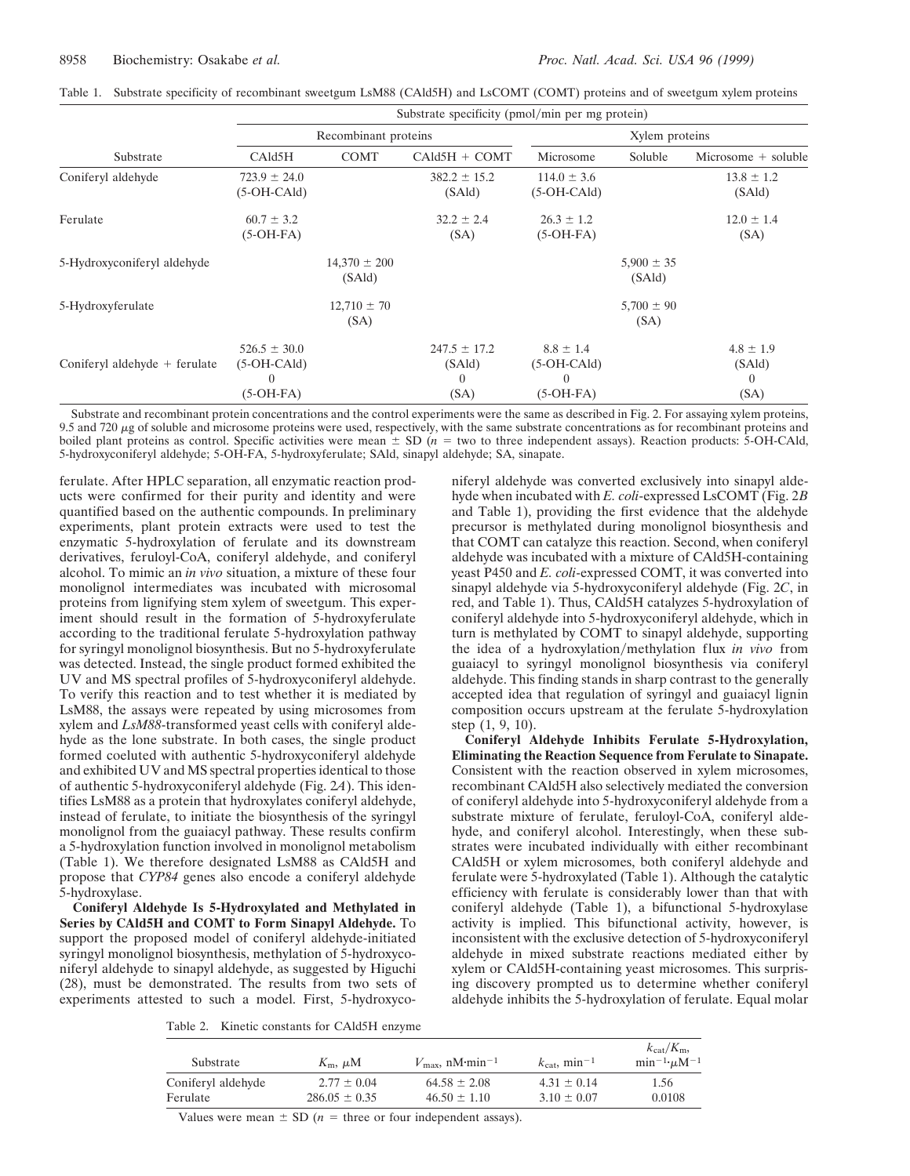|                                 | $\mu$ of $\mu$ and $\mu$ and $\mu$ and $\mu$ and $\mu$ and $\mu$ |                            |                                                |                                                           |                          |                                      |  |  |
|---------------------------------|------------------------------------------------------------------|----------------------------|------------------------------------------------|-----------------------------------------------------------|--------------------------|--------------------------------------|--|--|
|                                 |                                                                  | Recombinant proteins       |                                                | Xylem proteins                                            |                          |                                      |  |  |
| Substrate                       | CAld5H                                                           | <b>COMT</b>                | $CAld5H + COMT$                                | Microsome                                                 | Soluble                  | Microsome $+$ soluble                |  |  |
| Coniferyl aldehyde              | $723.9 \pm 24.0$<br>$(5-OH-CAld)$                                |                            | $382.2 \pm 15.2$<br>(SAld)                     | $114.0 \pm 3.6$<br>$(5-OH-CAld)$                          |                          | $13.8 \pm 1.2$<br>(SAld)             |  |  |
| Ferulate                        | $60.7 \pm 3.2$<br>$(5-OH-FA)$                                    |                            | $32.2 \pm 2.4$<br>(SA)                         | $26.3 \pm 1.2$<br>$(5-OH-FA)$                             |                          | $12.0 \pm 1.4$<br>(SA)               |  |  |
| 5-Hydroxyconiferyl aldehyde     |                                                                  | $14,370 \pm 200$<br>(SAld) |                                                |                                                           | $5,900 \pm 35$<br>(SAld) |                                      |  |  |
| 5-Hydroxyferulate               |                                                                  | $12,710 \pm 70$<br>(SA)    |                                                |                                                           | $5,700 \pm 90$<br>(SA)   |                                      |  |  |
| Coniferyl aldehyde $+$ ferulate | $526.5 \pm 30.0$<br>$(5-OH-CAld)$<br>$\left($<br>$(5-OH-FA)$     |                            | $247.5 \pm 17.2$<br>(SAld)<br>$\Omega$<br>(SA) | $8.8 \pm 1.4$<br>$(5-OH-CAld)$<br>$\Omega$<br>$(5-OH-FA)$ |                          | $4.8 \pm 1.9$<br>(SAld)<br>0<br>(SA) |  |  |

|  |  |  |  |  |  |  | Table 1. Substrate specificity of recombinant sweetgum LsM88 (CAld5H) and LsCOMT (COMT) proteins and of sweetgum xylem proteins |
|--|--|--|--|--|--|--|---------------------------------------------------------------------------------------------------------------------------------|
|--|--|--|--|--|--|--|---------------------------------------------------------------------------------------------------------------------------------|

 $Substrate$  specificity (pmol/min per mg protein)

Substrate and recombinant protein concentrations and the control experiments were the same as described in Fig. 2. For assaying xylem proteins, 9.5 and 720  $\mu$ g of soluble and microsome proteins were used, respectively, with the same substrate concentrations as for recombinant proteins and boiled plant proteins as control. Specific activities were mean  $\pm$  SD ( $n =$  two to three independent assays). Reaction products: 5-OH-CAld, 5-hydroxyconiferyl aldehyde; 5-OH-FA, 5-hydroxyferulate; SAld, sinapyl aldehyde; SA, sinapate.

ferulate. After HPLC separation, all enzymatic reaction products were confirmed for their purity and identity and were quantified based on the authentic compounds. In preliminary experiments, plant protein extracts were used to test the enzymatic 5-hydroxylation of ferulate and its downstream derivatives, feruloyl-CoA, coniferyl aldehyde, and coniferyl alcohol. To mimic an *in vivo* situation, a mixture of these four monolignol intermediates was incubated with microsomal proteins from lignifying stem xylem of sweetgum. This experiment should result in the formation of 5-hydroxyferulate according to the traditional ferulate 5-hydroxylation pathway for syringyl monolignol biosynthesis. But no 5-hydroxyferulate was detected. Instead, the single product formed exhibited the UV and MS spectral profiles of 5-hydroxyconiferyl aldehyde. To verify this reaction and to test whether it is mediated by LsM88, the assays were repeated by using microsomes from xylem and *LsM88*-transformed yeast cells with coniferyl aldehyde as the lone substrate. In both cases, the single product formed coeluted with authentic 5-hydroxyconiferyl aldehyde and exhibited UV and MS spectral properties identical to those of authentic 5-hydroxyconiferyl aldehyde (Fig. 2*A*). This identifies LsM88 as a protein that hydroxylates coniferyl aldehyde, instead of ferulate, to initiate the biosynthesis of the syringyl monolignol from the guaiacyl pathway. These results confirm a 5-hydroxylation function involved in monolignol metabolism (Table 1). We therefore designated LsM88 as CAld5H and propose that *CYP84* genes also encode a coniferyl aldehyde 5-hydroxylase.

**Coniferyl Aldehyde Is 5-Hydroxylated and Methylated in Series by CAld5H and COMT to Form Sinapyl Aldehyde.** To support the proposed model of coniferyl aldehyde-initiated syringyl monolignol biosynthesis, methylation of 5-hydroxyconiferyl aldehyde to sinapyl aldehyde, as suggested by Higuchi (28), must be demonstrated. The results from two sets of experiments attested to such a model. First, 5-hydroxyconiferyl aldehyde was converted exclusively into sinapyl aldehyde when incubated with *E. coli*-expressed LsCOMT (Fig. 2*B* and Table 1), providing the first evidence that the aldehyde precursor is methylated during monolignol biosynthesis and that COMT can catalyze this reaction. Second, when coniferyl aldehyde was incubated with a mixture of CAld5H-containing yeast P450 and *E. coli*-expressed COMT, it was converted into sinapyl aldehyde via 5-hydroxyconiferyl aldehyde (Fig. 2*C*, in red, and Table 1). Thus, CAld5H catalyzes 5-hydroxylation of coniferyl aldehyde into 5-hydroxyconiferyl aldehyde, which in turn is methylated by COMT to sinapyl aldehyde, supporting the idea of a hydroxylation/methylation flux *in vivo* from guaiacyl to syringyl monolignol biosynthesis via coniferyl aldehyde. This finding stands in sharp contrast to the generally accepted idea that regulation of syringyl and guaiacyl lignin composition occurs upstream at the ferulate 5-hydroxylation step (1, 9, 10).

**Coniferyl Aldehyde Inhibits Ferulate 5-Hydroxylation, Eliminating the Reaction Sequence from Ferulate to Sinapate.** Consistent with the reaction observed in xylem microsomes, recombinant CAld5H also selectively mediated the conversion of coniferyl aldehyde into 5-hydroxyconiferyl aldehyde from a substrate mixture of ferulate, feruloyl-CoA, coniferyl aldehyde, and coniferyl alcohol. Interestingly, when these substrates were incubated individually with either recombinant CAld5H or xylem microsomes, both coniferyl aldehyde and ferulate were 5-hydroxylated (Table 1). Although the catalytic efficiency with ferulate is considerably lower than that with coniferyl aldehyde (Table 1), a bifunctional 5-hydroxylase activity is implied. This bifunctional activity, however, is inconsistent with the exclusive detection of 5-hydroxyconiferyl aldehyde in mixed substrate reactions mediated either by xylem or CAld5H-containing yeast microsomes. This surprising discovery prompted us to determine whether coniferyl aldehyde inhibits the 5-hydroxylation of ferulate. Equal molar

Table 2. Kinetic constants for CAld5H enzyme

| Substrate                      | $K_{\rm m}$ , $\mu$ M                | $V_{\text{max}}$ , nM·min <sup>-1</sup> | $k_{\text{cat}}$ , min <sup>-1</sup> | $k_{\text{cat}}/K_{\text{m}}$<br>$\min^{-1} \mu M^{-1}$ |
|--------------------------------|--------------------------------------|-----------------------------------------|--------------------------------------|---------------------------------------------------------|
| Coniferyl aldehyde<br>Ferulate | $2.77 \pm 0.04$<br>$286.05 \pm 0.35$ | $64.58 \pm 2.08$<br>$46.50 \pm 1.10$    | $4.31 \pm 0.14$<br>$3.10 \pm 0.07$   | 1.56<br>0.0108                                          |
|                                |                                      |                                         |                                      |                                                         |

Values were mean  $\pm$  SD ( $n =$  three or four independent assays).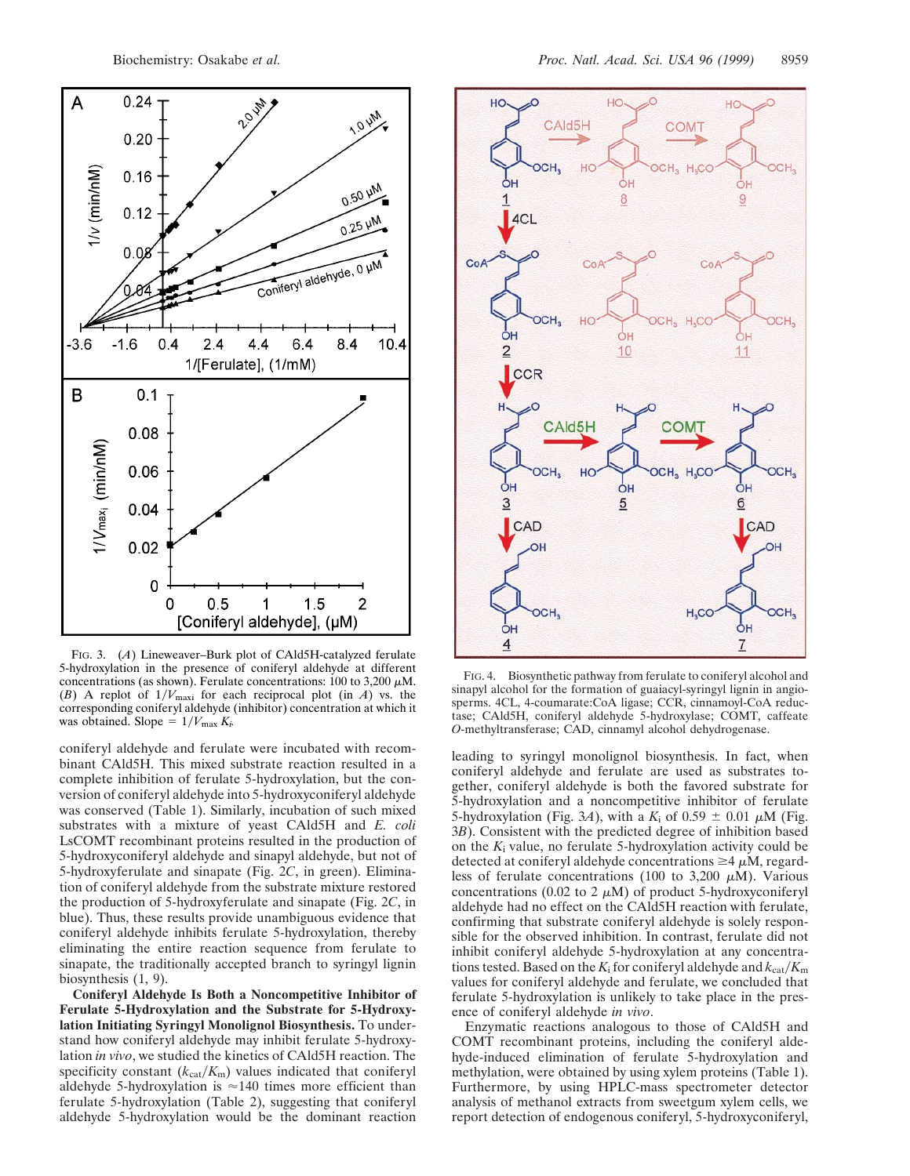

FIG. 3. (*A*) Lineweaver–Burk plot of CAld5H-catalyzed ferulate 5-hydroxylation in the presence of coniferyl aldehyde at different concentrations (as shown). Ferulate concentrations: 100 to 3,200  $\mu$ M. (*B*) A replot of  $1/V_{\text{maxi}}$  for each reciprocal plot (in *A*) vs. the corresponding coniferyl aldehyde (inhibitor) concentration at which it was obtained. Slope =  $1/V_{\text{max}} K_i$ .

coniferyl aldehyde and ferulate were incubated with recombinant CAld5H. This mixed substrate reaction resulted in a complete inhibition of ferulate 5-hydroxylation, but the conversion of coniferyl aldehyde into 5-hydroxyconiferyl aldehyde was conserved (Table 1). Similarly, incubation of such mixed substrates with a mixture of yeast CAld5H and *E. coli* LsCOMT recombinant proteins resulted in the production of 5-hydroxyconiferyl aldehyde and sinapyl aldehyde, but not of 5-hydroxyferulate and sinapate (Fig. 2*C*, in green). Elimination of coniferyl aldehyde from the substrate mixture restored the production of 5-hydroxyferulate and sinapate (Fig. 2*C*, in blue). Thus, these results provide unambiguous evidence that coniferyl aldehyde inhibits ferulate 5-hydroxylation, thereby eliminating the entire reaction sequence from ferulate to sinapate, the traditionally accepted branch to syringyl lignin biosynthesis (1, 9).

**Coniferyl Aldehyde Is Both a Noncompetitive Inhibitor of Ferulate 5-Hydroxylation and the Substrate for 5-Hydroxylation Initiating Syringyl Monolignol Biosynthesis.** To understand how coniferyl aldehyde may inhibit ferulate 5-hydroxylation *in vivo*, we studied the kinetics of CAld5H reaction. The specificity constant  $(k_{cat}/K_m)$  values indicated that coniferyl aldehyde 5-hydroxylation is  $\approx$  140 times more efficient than ferulate 5-hydroxylation (Table 2), suggesting that coniferyl aldehyde 5-hydroxylation would be the dominant reaction



FIG. 4. Biosynthetic pathway from ferulate to coniferyl alcohol and sinapyl alcohol for the formation of guaiacyl-syringyl lignin in angiosperms. 4CL, 4-coumarate:CoA ligase; CCR, cinnamoyl-CoA reductase; CAld5H, coniferyl aldehyde 5-hydroxylase; COMT, caffeate *O*-methyltransferase; CAD, cinnamyl alcohol dehydrogenase.

leading to syringyl monolignol biosynthesis. In fact, when coniferyl aldehyde and ferulate are used as substrates together, coniferyl aldehyde is both the favored substrate for 5-hydroxylation and a noncompetitive inhibitor of ferulate 5-hydroxylation (Fig. 3A), with a  $K_i$  of 0.59  $\pm$  0.01  $\mu$ M (Fig. 3*B*). Consistent with the predicted degree of inhibition based on the  $K_i$  value, no ferulate 5-hydroxylation activity could be detected at coniferyl aldehyde concentrations  $\geq 4 \mu$ M, regardless of ferulate concentrations (100 to 3,200  $\mu$ M). Various concentrations (0.02 to 2  $\mu$ M) of product 5-hydroxyconiferyl aldehyde had no effect on the CAld5H reaction with ferulate, confirming that substrate coniferyl aldehyde is solely responsible for the observed inhibition. In contrast, ferulate did not inhibit coniferyl aldehyde 5-hydroxylation at any concentrations tested. Based on the  $K_i$  for coniferyl aldehyde and  $k_{cat}/K_m$ values for coniferyl aldehyde and ferulate, we concluded that ferulate 5-hydroxylation is unlikely to take place in the presence of coniferyl aldehyde *in vivo*.

Enzymatic reactions analogous to those of CAld5H and COMT recombinant proteins, including the coniferyl aldehyde-induced elimination of ferulate 5-hydroxylation and methylation, were obtained by using xylem proteins (Table 1). Furthermore, by using HPLC-mass spectrometer detector analysis of methanol extracts from sweetgum xylem cells, we report detection of endogenous coniferyl, 5-hydroxyconiferyl,